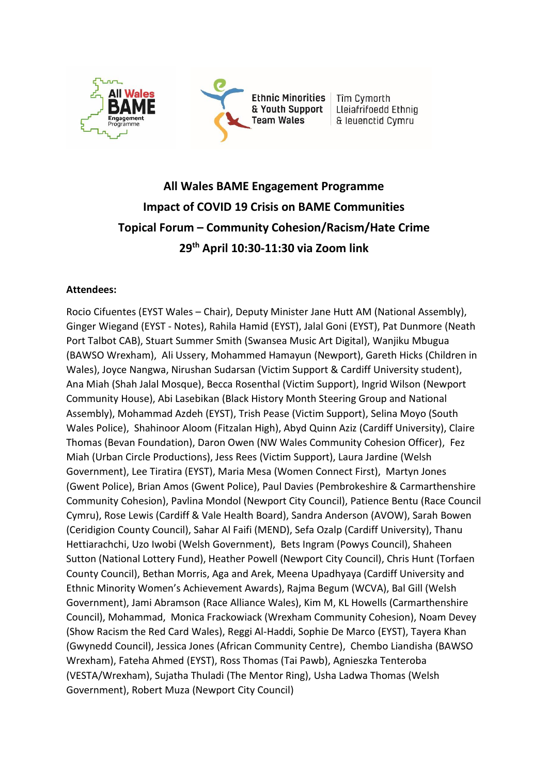

# **All Wales BAME Engagement Programme Impact of COVID 19 Crisis on BAME Communities Topical Forum – Community Cohesion/Racism/Hate Crime 29th April 10:30-11:30 via Zoom link**

#### **Attendees:**

Rocio Cifuentes (EYST Wales – Chair), Deputy Minister Jane Hutt AM (National Assembly), Ginger Wiegand (EYST - Notes), Rahila Hamid (EYST), Jalal Goni (EYST), Pat Dunmore (Neath Port Talbot CAB), Stuart Summer Smith (Swansea Music Art Digital), Wanjiku Mbugua (BAWSO Wrexham), Ali Ussery, Mohammed Hamayun (Newport), Gareth Hicks (Children in Wales), Joyce Nangwa, Nirushan Sudarsan (Victim Support & Cardiff University student), Ana Miah (Shah Jalal Mosque), Becca Rosenthal (Victim Support), Ingrid Wilson (Newport Community House), Abi Lasebikan (Black History Month Steering Group and National Assembly), Mohammad Azdeh (EYST), Trish Pease (Victim Support), Selina Moyo (South Wales Police), Shahinoor Aloom (Fitzalan High), Abyd Quinn Aziz (Cardiff University), Claire Thomas (Bevan Foundation), Daron Owen (NW Wales Community Cohesion Officer), Fez Miah (Urban Circle Productions), Jess Rees (Victim Support), Laura Jardine (Welsh Government), Lee Tiratira (EYST), Maria Mesa (Women Connect First), Martyn Jones (Gwent Police), Brian Amos (Gwent Police), Paul Davies (Pembrokeshire & Carmarthenshire Community Cohesion), Pavlina Mondol (Newport City Council), Patience Bentu (Race Council Cymru), Rose Lewis (Cardiff & Vale Health Board), Sandra Anderson (AVOW), Sarah Bowen (Ceridigion County Council), Sahar Al Faifi (MEND), Sefa Ozalp (Cardiff University), Thanu Hettiarachchi, Uzo Iwobi (Welsh Government), Bets Ingram (Powys Council), Shaheen Sutton (National Lottery Fund), Heather Powell (Newport City Council), Chris Hunt (Torfaen County Council), Bethan Morris, Aga and Arek, Meena Upadhyaya (Cardiff University and Ethnic Minority Women's Achievement Awards), Rajma Begum (WCVA), Bal Gill (Welsh Government), Jami Abramson (Race Alliance Wales), Kim M, KL Howells (Carmarthenshire Council), Mohammad, Monica Frackowiack (Wrexham Community Cohesion), Noam Devey (Show Racism the Red Card Wales), Reggi Al-Haddi, Sophie De Marco (EYST), Tayera Khan (Gwynedd Council), Jessica Jones (African Community Centre), Chembo Liandisha (BAWSO Wrexham), Fateha Ahmed (EYST), Ross Thomas (Tai Pawb), Agnieszka Tenteroba (VESTA/Wrexham), Sujatha Thuladi (The Mentor Ring), Usha Ladwa Thomas (Welsh Government), Robert Muza (Newport City Council)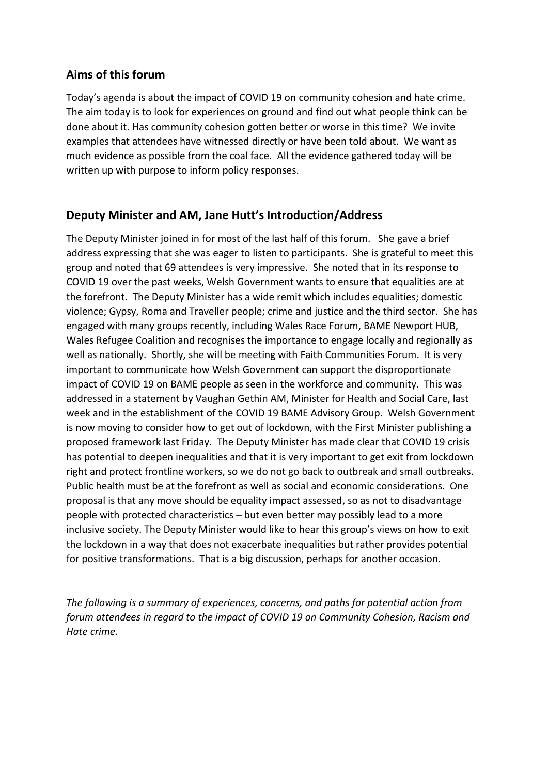## **Aims of this forum**

Today's agenda is about the impact of COVID 19 on community cohesion and hate crime. The aim today is to look for experiences on ground and find out what people think can be done about it. Has community cohesion gotten better or worse in this time? We invite examples that attendees have witnessed directly or have been told about. We want as much evidence as possible from the coal face. All the evidence gathered today will be written up with purpose to inform policy responses.

## **Deputy Minister and AM, Jane Hutt's Introduction/Address**

The Deputy Minister joined in for most of the last half of this forum. She gave a brief address expressing that she was eager to listen to participants. She is grateful to meet this group and noted that 69 attendees is very impressive. She noted that in its response to COVID 19 over the past weeks, Welsh Government wants to ensure that equalities are at the forefront. The Deputy Minister has a wide remit which includes equalities; domestic violence; Gypsy, Roma and Traveller people; crime and justice and the third sector. She has engaged with many groups recently, including Wales Race Forum, BAME Newport HUB, Wales Refugee Coalition and recognises the importance to engage locally and regionally as well as nationally. Shortly, she will be meeting with Faith Communities Forum. It is very important to communicate how Welsh Government can support the disproportionate impact of COVID 19 on BAME people as seen in the workforce and community. This was addressed in a statement by Vaughan Gethin AM, Minister for Health and Social Care, last week and in the establishment of the COVID 19 BAME Advisory Group. Welsh Government is now moving to consider how to get out of lockdown, with the First Minister publishing a proposed framework last Friday. The Deputy Minister has made clear that COVID 19 crisis has potential to deepen inequalities and that it is very important to get exit from lockdown right and protect frontline workers, so we do not go back to outbreak and small outbreaks. Public health must be at the forefront as well as social and economic considerations. One proposal is that any move should be equality impact assessed, so as not to disadvantage people with protected characteristics – but even better may possibly lead to a more inclusive society. The Deputy Minister would like to hear this group's views on how to exit the lockdown in a way that does not exacerbate inequalities but rather provides potential for positive transformations. That is a big discussion, perhaps for another occasion.

*The following is a summary of experiences, concerns, and paths for potential action from forum attendees in regard to the impact of COVID 19 on Community Cohesion, Racism and Hate crime.*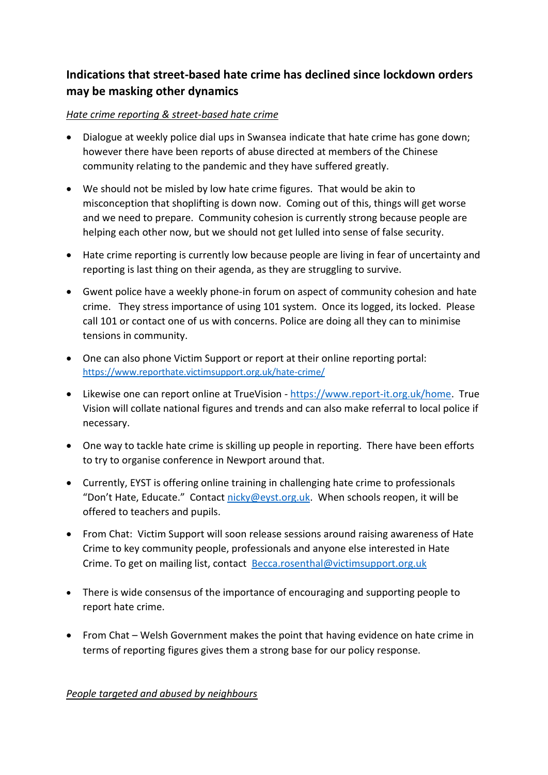# **Indications that street-based hate crime has declined since lockdown orders may be masking other dynamics**

### *Hate crime reporting & street-based hate crime*

- Dialogue at weekly police dial ups in Swansea indicate that hate crime has gone down; however there have been reports of abuse directed at members of the Chinese community relating to the pandemic and they have suffered greatly.
- We should not be misled by low hate crime figures. That would be akin to misconception that shoplifting is down now. Coming out of this, things will get worse and we need to prepare. Community cohesion is currently strong because people are helping each other now, but we should not get lulled into sense of false security.
- Hate crime reporting is currently low because people are living in fear of uncertainty and reporting is last thing on their agenda, as they are struggling to survive.
- Gwent police have a weekly phone-in forum on aspect of community cohesion and hate crime. They stress importance of using 101 system. Once its logged, its locked. Please call 101 or contact one of us with concerns. Police are doing all they can to minimise tensions in community.
- One can also phone Victim Support or report at their online reporting portal: <https://www.reporthate.victimsupport.org.uk/hate-crime/>
- Likewise one can report online at TrueVision [https://www.report-it.org.uk/home.](https://www.report-it.org.uk/home) True Vision will collate national figures and trends and can also make referral to local police if necessary.
- One way to tackle hate crime is skilling up people in reporting. There have been efforts to try to organise conference in Newport around that.
- Currently, EYST is offering online training in challenging hate crime to professionals "Don't Hate, Educate." Contact [nicky@eyst.org.uk.](mailto:nicky@eyst.org.uk) When schools reopen, it will be offered to teachers and pupils.
- From Chat: Victim Support will soon release sessions around raising awareness of Hate Crime to key community people, professionals and anyone else interested in Hate Crime. To get on mailing list, contact [Becca.rosenthal@victimsupport.org.uk](mailto:Becca.rosenthal@victimsupport.org.uk)
- There is wide consensus of the importance of encouraging and supporting people to report hate crime.
- From Chat Welsh Government makes the point that having evidence on hate crime in terms of reporting figures gives them a strong base for our policy response.

*People targeted and abused by neighbours*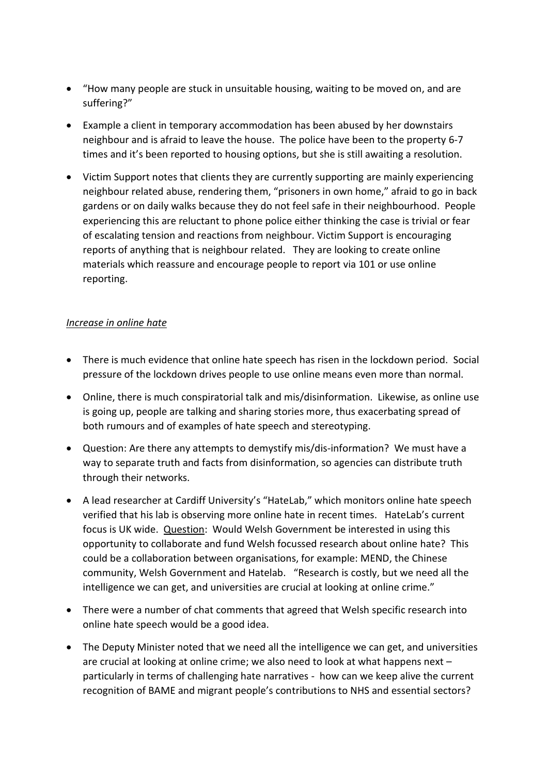- "How many people are stuck in unsuitable housing, waiting to be moved on, and are suffering?"
- Example a client in temporary accommodation has been abused by her downstairs neighbour and is afraid to leave the house. The police have been to the property 6-7 times and it's been reported to housing options, but she is still awaiting a resolution.
- Victim Support notes that clients they are currently supporting are mainly experiencing neighbour related abuse, rendering them, "prisoners in own home," afraid to go in back gardens or on daily walks because they do not feel safe in their neighbourhood. People experiencing this are reluctant to phone police either thinking the case is trivial or fear of escalating tension and reactions from neighbour. Victim Support is encouraging reports of anything that is neighbour related. They are looking to create online materials which reassure and encourage people to report via 101 or use online reporting.

#### *Increase in online hate*

- There is much evidence that online hate speech has risen in the lockdown period. Social pressure of the lockdown drives people to use online means even more than normal.
- Online, there is much conspiratorial talk and mis/disinformation. Likewise, as online use is going up, people are talking and sharing stories more, thus exacerbating spread of both rumours and of examples of hate speech and stereotyping.
- Question: Are there any attempts to demystify mis/dis-information? We must have a way to separate truth and facts from disinformation, so agencies can distribute truth through their networks.
- A lead researcher at Cardiff University's "HateLab," which monitors online hate speech verified that his lab is observing more online hate in recent times. HateLab's current focus is UK wide. Question: Would Welsh Government be interested in using this opportunity to collaborate and fund Welsh focussed research about online hate? This could be a collaboration between organisations, for example: MEND, the Chinese community, Welsh Government and Hatelab. "Research is costly, but we need all the intelligence we can get, and universities are crucial at looking at online crime."
- There were a number of chat comments that agreed that Welsh specific research into online hate speech would be a good idea.
- The Deputy Minister noted that we need all the intelligence we can get, and universities are crucial at looking at online crime; we also need to look at what happens next – particularly in terms of challenging hate narratives - how can we keep alive the current recognition of BAME and migrant people's contributions to NHS and essential sectors?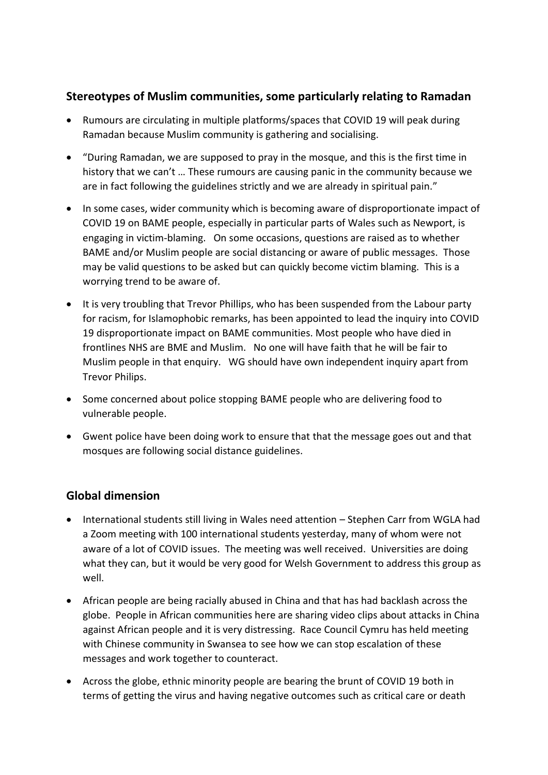## **Stereotypes of Muslim communities, some particularly relating to Ramadan**

- Rumours are circulating in multiple platforms/spaces that COVID 19 will peak during Ramadan because Muslim community is gathering and socialising.
- "During Ramadan, we are supposed to pray in the mosque, and this is the first time in history that we can't … These rumours are causing panic in the community because we are in fact following the guidelines strictly and we are already in spiritual pain."
- In some cases, wider community which is becoming aware of disproportionate impact of COVID 19 on BAME people, especially in particular parts of Wales such as Newport, is engaging in victim-blaming. On some occasions, questions are raised as to whether BAME and/or Muslim people are social distancing or aware of public messages. Those may be valid questions to be asked but can quickly become victim blaming. This is a worrying trend to be aware of.
- It is very troubling that Trevor Phillips, who has been suspended from the Labour party for racism, for Islamophobic remarks, has been appointed to lead the inquiry into COVID 19 disproportionate impact on BAME communities. Most people who have died in frontlines NHS are BME and Muslim. No one will have faith that he will be fair to Muslim people in that enquiry. WG should have own independent inquiry apart from Trevor Philips.
- Some concerned about police stopping BAME people who are delivering food to vulnerable people.
- Gwent police have been doing work to ensure that that the message goes out and that mosques are following social distance guidelines.

# **Global dimension**

- International students still living in Wales need attention Stephen Carr from WGLA had a Zoom meeting with 100 international students yesterday, many of whom were not aware of a lot of COVID issues. The meeting was well received. Universities are doing what they can, but it would be very good for Welsh Government to address this group as well.
- African people are being racially abused in China and that has had backlash across the globe. People in African communities here are sharing video clips about attacks in China against African people and it is very distressing. Race Council Cymru has held meeting with Chinese community in Swansea to see how we can stop escalation of these messages and work together to counteract.
- Across the globe, ethnic minority people are bearing the brunt of COVID 19 both in terms of getting the virus and having negative outcomes such as critical care or death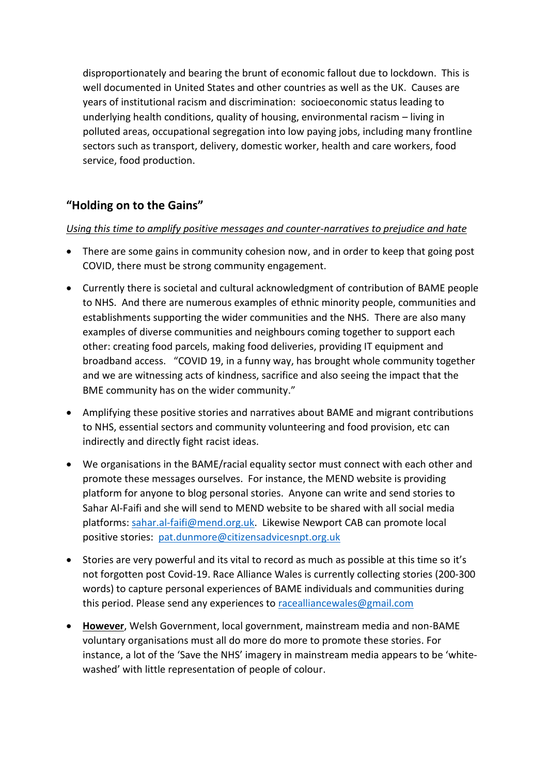disproportionately and bearing the brunt of economic fallout due to lockdown. This is well documented in United States and other countries as well as the UK. Causes are years of institutional racism and discrimination: socioeconomic status leading to underlying health conditions, quality of housing, environmental racism – living in polluted areas, occupational segregation into low paying jobs, including many frontline sectors such as transport, delivery, domestic worker, health and care workers, food service, food production.

# **"Holding on to the Gains"**

#### *Using this time to amplify positive messages and counter-narratives to prejudice and hate*

- There are some gains in community cohesion now, and in order to keep that going post COVID, there must be strong community engagement.
- Currently there is societal and cultural acknowledgment of contribution of BAME people to NHS. And there are numerous examples of ethnic minority people, communities and establishments supporting the wider communities and the NHS. There are also many examples of diverse communities and neighbours coming together to support each other: creating food parcels, making food deliveries, providing IT equipment and broadband access. "COVID 19, in a funny way, has brought whole community together and we are witnessing acts of kindness, sacrifice and also seeing the impact that the BME community has on the wider community."
- Amplifying these positive stories and narratives about BAME and migrant contributions to NHS, essential sectors and community volunteering and food provision, etc can indirectly and directly fight racist ideas.
- We organisations in the BAME/racial equality sector must connect with each other and promote these messages ourselves. For instance, the MEND website is providing platform for anyone to blog personal stories. Anyone can write and send stories to Sahar Al-Faifi and she will send to MEND website to be shared with all social media platforms: [sahar.al-faifi@mend.org.uk.](mailto:sahar.al-faifi@mend.org.uk) Likewise Newport CAB can promote local positive stories: [pat.dunmore@citizensadvicesnpt.org.uk](mailto:pat.dunmore@citizensadvicesnpt.org.uk)
- Stories are very powerful and its vital to record as much as possible at this time so it's not forgotten post Covid-19. Race Alliance Wales is currently collecting stories (200-300 words) to capture personal experiences of BAME individuals and communities during this period. Please send any experiences to [racealliancewales@gmail.com](mailto:racealliancewales@gmail.com)
- **However**, Welsh Government, local government, mainstream media and non-BAME voluntary organisations must all do more do more to promote these stories. For instance, a lot of the 'Save the NHS' imagery in mainstream media appears to be 'whitewashed' with little representation of people of colour.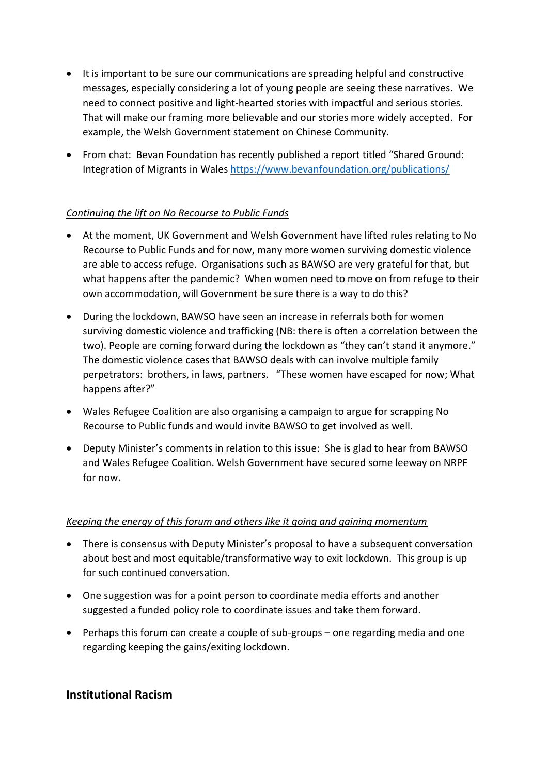- It is important to be sure our communications are spreading helpful and constructive messages, especially considering a lot of young people are seeing these narratives. We need to connect positive and light-hearted stories with impactful and serious stories. That will make our framing more believable and our stories more widely accepted. For example, the Welsh Government statement on Chinese Community.
- From chat: Bevan Foundation has recently published a report titled "Shared Ground: Integration of Migrants in Wales<https://www.bevanfoundation.org/publications/>

## *Continuing the lift on No Recourse to Public Funds*

- At the moment, UK Government and Welsh Government have lifted rules relating to No Recourse to Public Funds and for now, many more women surviving domestic violence are able to access refuge. Organisations such as BAWSO are very grateful for that, but what happens after the pandemic? When women need to move on from refuge to their own accommodation, will Government be sure there is a way to do this?
- During the lockdown, BAWSO have seen an increase in referrals both for women surviving domestic violence and trafficking (NB: there is often a correlation between the two). People are coming forward during the lockdown as "they can't stand it anymore." The domestic violence cases that BAWSO deals with can involve multiple family perpetrators: brothers, in laws, partners. "These women have escaped for now; What happens after?"
- Wales Refugee Coalition are also organising a campaign to argue for scrapping No Recourse to Public funds and would invite BAWSO to get involved as well.
- Deputy Minister's comments in relation to this issue: She is glad to hear from BAWSO and Wales Refugee Coalition. Welsh Government have secured some leeway on NRPF for now.

#### *Keeping the energy of this forum and others like it going and gaining momentum*

- There is consensus with Deputy Minister's proposal to have a subsequent conversation about best and most equitable/transformative way to exit lockdown. This group is up for such continued conversation.
- One suggestion was for a point person to coordinate media efforts and another suggested a funded policy role to coordinate issues and take them forward.
- Perhaps this forum can create a couple of sub-groups one regarding media and one regarding keeping the gains/exiting lockdown.

## **Institutional Racism**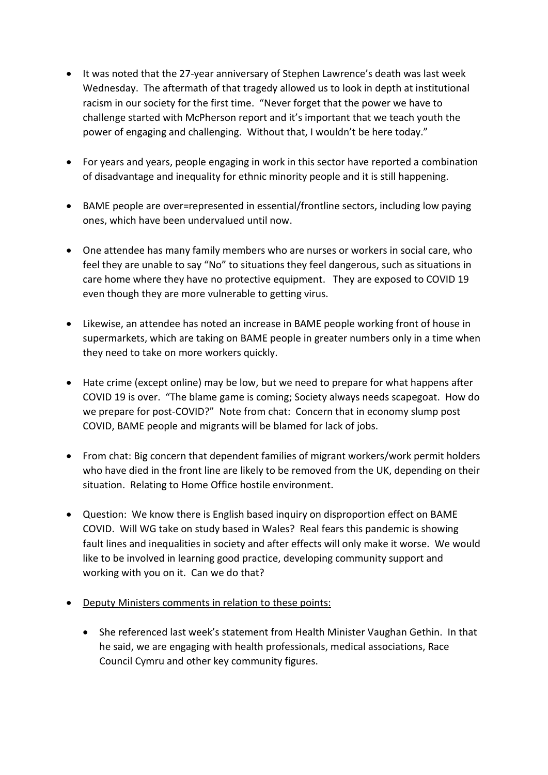- It was noted that the 27-year anniversary of Stephen Lawrence's death was last week Wednesday. The aftermath of that tragedy allowed us to look in depth at institutional racism in our society for the first time. "Never forget that the power we have to challenge started with McPherson report and it's important that we teach youth the power of engaging and challenging. Without that, I wouldn't be here today."
- For years and years, people engaging in work in this sector have reported a combination of disadvantage and inequality for ethnic minority people and it is still happening.
- BAME people are over=represented in essential/frontline sectors, including low paying ones, which have been undervalued until now.
- One attendee has many family members who are nurses or workers in social care, who feel they are unable to say "No" to situations they feel dangerous, such as situations in care home where they have no protective equipment. They are exposed to COVID 19 even though they are more vulnerable to getting virus.
- Likewise, an attendee has noted an increase in BAME people working front of house in supermarkets, which are taking on BAME people in greater numbers only in a time when they need to take on more workers quickly.
- Hate crime (except online) may be low, but we need to prepare for what happens after COVID 19 is over. "The blame game is coming; Society always needs scapegoat. How do we prepare for post-COVID?" Note from chat: Concern that in economy slump post COVID, BAME people and migrants will be blamed for lack of jobs.
- From chat: Big concern that dependent families of migrant workers/work permit holders who have died in the front line are likely to be removed from the UK, depending on their situation. Relating to Home Office hostile environment.
- Question: We know there is English based inquiry on disproportion effect on BAME COVID. Will WG take on study based in Wales? Real fears this pandemic is showing fault lines and inequalities in society and after effects will only make it worse. We would like to be involved in learning good practice, developing community support and working with you on it. Can we do that?
- Deputy Ministers comments in relation to these points:
	- She referenced last week's statement from Health Minister Vaughan Gethin. In that he said, we are engaging with health professionals, medical associations, Race Council Cymru and other key community figures.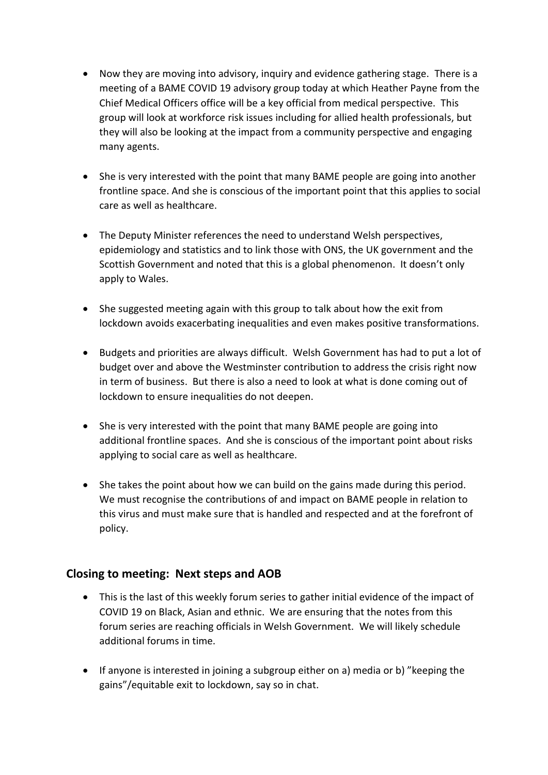- Now they are moving into advisory, inquiry and evidence gathering stage. There is a meeting of a BAME COVID 19 advisory group today at which Heather Payne from the Chief Medical Officers office will be a key official from medical perspective. This group will look at workforce risk issues including for allied health professionals, but they will also be looking at the impact from a community perspective and engaging many agents.
- She is very interested with the point that many BAME people are going into another frontline space. And she is conscious of the important point that this applies to social care as well as healthcare.
- The Deputy Minister references the need to understand Welsh perspectives, epidemiology and statistics and to link those with ONS, the UK government and the Scottish Government and noted that this is a global phenomenon. It doesn't only apply to Wales.
- She suggested meeting again with this group to talk about how the exit from lockdown avoids exacerbating inequalities and even makes positive transformations.
- Budgets and priorities are always difficult. Welsh Government has had to put a lot of budget over and above the Westminster contribution to address the crisis right now in term of business. But there is also a need to look at what is done coming out of lockdown to ensure inequalities do not deepen.
- She is very interested with the point that many BAME people are going into additional frontline spaces. And she is conscious of the important point about risks applying to social care as well as healthcare.
- She takes the point about how we can build on the gains made during this period. We must recognise the contributions of and impact on BAME people in relation to this virus and must make sure that is handled and respected and at the forefront of policy.

## **Closing to meeting: Next steps and AOB**

- This is the last of this weekly forum series to gather initial evidence of the impact of COVID 19 on Black, Asian and ethnic. We are ensuring that the notes from this forum series are reaching officials in Welsh Government. We will likely schedule additional forums in time.
- If anyone is interested in joining a subgroup either on a) media or b) "keeping the gains"/equitable exit to lockdown, say so in chat.